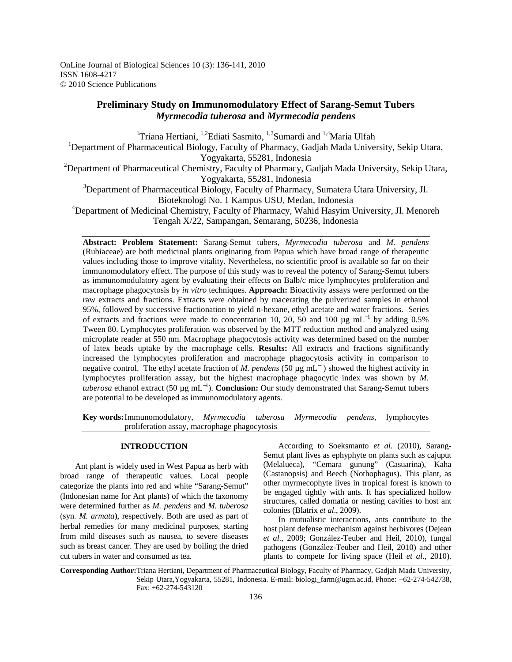OnLine Journal of Biological Sciences 10 (3): 136-141, 2010 ISSN 1608-4217 © 2010 Science Publications

# **Preliminary Study on Immunomodulatory Effect of Sarang-Semut Tubers**  *Myrmecodia tuberosa* **and** *Myrmecodia pendens*

<sup>1</sup>Triana Hertiani, <sup>1,2</sup>Ediati Sasmito, <sup>1,3</sup>Sumardi and <sup>1,4</sup>Maria Ulfah

<sup>1</sup>Department of Pharmaceutical Biology, Faculty of Pharmacy, Gadjah Mada University, Sekip Utara, Yogyakarta, 55281, Indonesia

<sup>2</sup>Department of Pharmaceutical Chemistry, Faculty of Pharmacy, Gadjah Mada University, Sekip Utara, Yogyakarta, 55281, Indonesia

<sup>3</sup>Department of Pharmaceutical Biology, Faculty of Pharmacy, Sumatera Utara University, Jl. Bioteknologi No. 1 Kampus USU, Medan, Indonesia

<sup>4</sup>Department of Medicinal Chemistry, Faculty of Pharmacy, Wahid Hasyim University, Jl. Menoreh Tengah X/22, Sampangan, Semarang, 50236, Indonesia

**Abstract: Problem Statement:** Sarang-Semut tubers, *Myrmecodia tuberosa* and *M. pendens*  (Rubiaceae) are both medicinal plants originating from Papua which have broad range of therapeutic values including those to improve vitality. Nevertheless, no scientific proof is available so far on their immunomodulatory effect. The purpose of this study was to reveal the potency of Sarang-Semut tubers as immunomodulatory agent by evaluating their effects on Balb/c mice lymphocytes proliferation and macrophage phagocytosis by *in vitro* techniques. **Approach:** Bioactivity assays were performed on the raw extracts and fractions. Extracts were obtained by macerating the pulverized samples in ethanol 95%, followed by successive fractionation to yield n-hexane, ethyl acetate and water fractions. Series of extracts and fractions were made to concentration 10, 20, 50 and 100  $\mu$ g mL<sup>-1</sup> by adding 0.5% Tween 80. Lymphocytes proliferation was observed by the MTT reduction method and analyzed using microplate reader at 550 nm. Macrophage phagocytosis activity was determined based on the number of latex beads uptake by the macrophage cells. **Results:** All extracts and fractions significantly increased the lymphocytes proliferation and macrophage phagocytosis activity in comparison to negative control. The ethyl acetate fraction of *M. pendens* (50 μg mL<sup>-1</sup>) showed the highest activity in lymphocytes proliferation assay, but the highest macrophage phagocytic index was shown by *M. tuberosa* ethanol extract (50 µg mL<sup>−</sup><sup>1</sup> ). **Conclusion:** Our study demonstrated that Sarang-Semut tubers are potential to be developed as immunomodulatory agents.

**Key words:** Immunomodulatory, *Myrmecodia tuberosa Myrmecodia pendens*, lymphocytes proliferation assay, macrophage phagocytosis

# **INTRODUCTION**

 Ant plant is widely used in West Papua as herb with broad range of therapeutic values. Local people categorize the plants into red and white "Sarang-Semut" (Indonesian name for Ant plants) of which the taxonomy were determined further as *M. pendens* and *M. tuberosa* (syn. *M. armata*), respectively. Both are used as part of herbal remedies for many medicinal purposes, starting from mild diseases such as nausea, to severe diseases such as breast cancer. They are used by boiling the dried cut tubers in water and consumed as tea.

 According to Soeksmanto *et al*. (2010), Sarang-Semut plant lives as ephyphyte on plants such as cajuput (Melalueca), "Cemara gunung" (Casuarina), Kaha (Castanopsis) and Beech (Nothophagus). This plant, as other myrmecophyte lives in tropical forest is known to be engaged tightly with ants. It has specialized hollow structures, called domatia or nesting cavities to host ant colonies (Blatrix *et al*., 2009).

 In mutualistic interactions, ants contribute to the host plant defense mechanism against herbivores (Dejean *et al*., 2009; González-Teuber and Heil, 2010), fungal pathogens (González-Teuber and Heil, 2010) and other plants to compete for living space (Heil *et al*., 2010).

**Corresponding Author:**Triana Hertiani, Department of Pharmaceutical Biology, Faculty of Pharmacy, Gadjah Mada University, Sekip Utara,Yogyakarta, 55281, Indonesia. E-mail: biologi\_farm@ugm.ac.id, Phone: +62-274-542738, Fax: +62-274-543120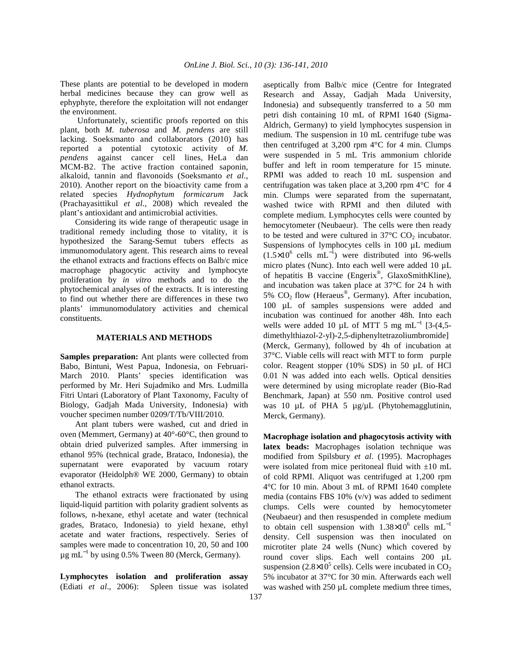These plants are potential to be developed in modern herbal medicines because they can grow well as ephyphyte, therefore the exploitation will not endanger the environment.

 Unfortunately, scientific proofs reported on this plant, both *M. tuberosa* and *M. pendens* are still lacking. Soeksmanto and collaborators (2010) has reported a potential cytotoxic activity of *M. pendens* against cancer cell lines, HeLa dan MCM-B2. The active fraction contained saponin, alkaloid, tannin and flavonoids (Soeksmanto *et al*., 2010). Another report on the bioactivity came from a related species *Hydnophytum formicarum* Jack (Prachayasittikul *et al*., 2008) which revealed the plant's antioxidant and antimicrobial activities.

 Considering its wide range of therapeutic usage in traditional remedy including those to vitality, it is hypothesized the Sarang-Semut tubers effects as immunomodulatory agent. This research aims to reveal the ethanol extracts and fractions effects on Balb/c mice macrophage phagocytic activity and lymphocyte proliferation by *in vitro* methods and to do the phytochemical analyses of the extracts. It is interesting to find out whether there are differences in these two plants' immunomodulatory activities and chemical constituents.

## **MATERIALS AND METHODS**

**Samples preparation:** Ant plants were collected from Babo, Bintuni, West Papua, Indonesia, on Februari-March 2010. Plants' species identification was performed by Mr. Heri Sujadmiko and Mrs. Ludmilla Fitri Untari (Laboratory of Plant Taxonomy, Faculty of Biology, Gadjah Mada University, Indonesia) with voucher specimen number 0209/T/Tb/VIII/2010.

 Ant plant tubers were washed, cut and dried in oven (Memmert, Germany) at 40°-60°C, then ground to obtain dried pulverized samples. After immersing in ethanol 95% (technical grade, Brataco, Indonesia), the supernatant were evaporated by vacuum rotary evaporator (Heidolph® WE 2000, Germany) to obtain ethanol extracts.

 The ethanol extracts were fractionated by using liquid-liquid partition with polarity gradient solvents as follows, n-hexane, ethyl acetate and water (technical grades, Brataco, Indonesia) to yield hexane, ethyl acetate and water fractions, respectively. Series of samples were made to concentration 10, 20, 50 and 100  $\mu$ g mL<sup>-1</sup> by using 0.5% Tween 80 (Merck, Germany).

**Lymphocytes isolation and proliferation assay**  (Ediati *et al*., 2006): Spleen tissue was isolated aseptically from Balb/c mice (Centre for Integrated Research and Assay, Gadjah Mada University, Indonesia) and subsequently transferred to a 50 mm petri dish containing 10 mL of RPMI 1640 (Sigma-Aldrich, Germany) to yield lymphocytes suspension in medium. The suspension in 10 mL centrifuge tube was then centrifuged at  $3,200$  rpm  $4^{\circ}$ C for 4 min. Clumps were suspended in 5 mL Tris ammonium chloride buffer and left in room temperature for 15 minute. RPMI was added to reach 10 mL suspension and centrifugation was taken place at 3,200 rpm 4°C for 4 min. Clumps were separated from the supernatant, washed twice with RPMI and then diluted with complete medium. Lymphocytes cells were counted by hemocytometer (Neubaeur). The cells were then ready to be tested and were cultured in  $37^{\circ}$ C CO<sub>2</sub> incubator. Suspensions of lymphocytes cells in 100 µL medium  $(1.5\times10^6 \text{ cells } mL^{-1})$  were distributed into 96-wells micro plates (Nunc). Into each well were added 10 µL of hepatitis B vaccine (Engerix®, GlaxoSmithKline), and incubation was taken place at 37°C for 24 h with 5%  $CO<sub>2</sub>$  flow (Heraeus<sup>®</sup>, Germany). After incubation, 100 µL of samples suspensions were added and incubation was continued for another 48h. Into each wells were added 10 µL of MTT 5 mg mL<sup>-1</sup> [3-(4,5dimethylthiazol-2-yl)-2,5-diphenyltetrazoliumbromide] (Merck, Germany), followed by 4h of incubation at 37°C. Viable cells will react with MTT to form purple color. Reagent stopper (10% SDS) in 50 µL of HCl 0.01 N was added into each wells. Optical densities were determined by using microplate reader (Bio-Rad Benchmark, Japan) at 550 nm. Positive control used was 10  $\mu$ L of PHA 5  $\mu$ g/ $\mu$ L (Phytohemagglutinin, Merck, Germany).

**Macrophage isolation and phagocytosis activity with latex beads:** Macrophages isolation technique was modified from Spilsbury *et al*. (1995). Macrophages were isolated from mice peritoneal fluid with  $\pm 10$  mL of cold RPMI. Aliquot was centrifuged at 1,200 rpm 4°C for 10 min. About 3 mL of RPMI 1640 complete media (contains FBS 10% (v/v) was added to sediment clumps. Cells were counted by hemocytometer (Neubaeur) and then resuspended in complete medium to obtain cell suspension with  $1.38\times10^{6}$  cells mL<sup>-1</sup> density. Cell suspension was then inoculated on microtiter plate 24 wells (Nunc) which covered by round cover slips. Each well contains 200 µL suspension (2.8×10<sup>5</sup> cells). Cells were incubated in  $CO_2$ 5% incubator at 37°C for 30 min. Afterwards each well was washed with 250  $\mu$ L complete medium three times,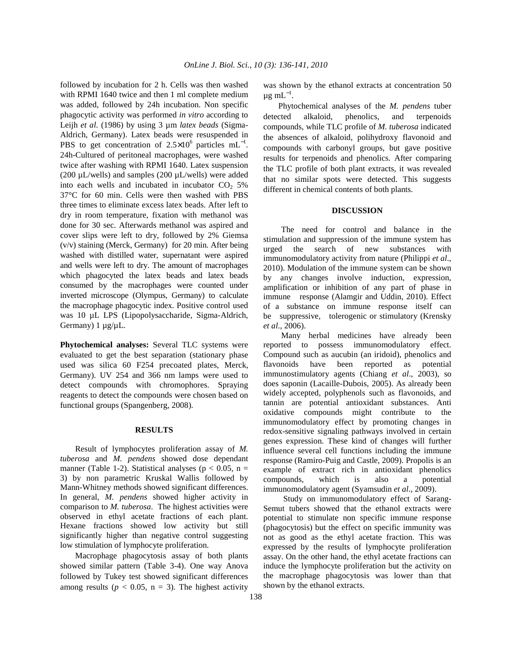followed by incubation for 2 h. Cells was then washed with RPMI 1640 twice and then 1 ml complete medium was added, followed by 24h incubation. Non specific phagocytic activity was performed *in vitro* according to Leijh *et al*. (1986) by using 3 µm *latex beads* (Sigma-Aldrich, Germany). Latex beads were resuspended in PBS to get concentration of  $2.5 \times 10^6$  particles mL<sup>-1</sup>. 24h-Cultured of peritoneal macrophages, were washed twice after washing with RPMI 1640. Latex suspension (200  $\mu$ L/wells) and samples (200  $\mu$ L/wells) were added into each wells and incubated in incubator  $CO<sub>2</sub> 5%$ 37°C for 60 min. Cells were then washed with PBS three times to eliminate excess latex beads. After left to dry in room temperature, fixation with methanol was done for 30 sec. Afterwards methanol was aspired and cover slips were left to dry, followed by 2% Giemsa (v/v) staining (Merck, Germany) for 20 min. After being washed with distilled water, supernatant were aspired and wells were left to dry. The amount of macrophages which phagocyted the latex beads and latex beads consumed by the macrophages were counted under inverted microscope (Olympus, Germany) to calculate the macrophage phagocytic index. Positive control used was 10 µL LPS (Lipopolysaccharide, Sigma-Aldrich, Germany) 1 µg/µL.

**Phytochemical analyses:** Several TLC systems were evaluated to get the best separation (stationary phase used was silica 60 F254 precoated plates, Merck, Germany). UV 254 and 366 nm lamps were used to detect compounds with chromophores. Spraying reagents to detect the compounds were chosen based on functional groups (Spangenberg, 2008).

#### **RESULTS**

 Result of lymphocytes proliferation assay of *M. tuberosa* and *M. pendens* showed dose dependant manner (Table 1-2). Statistical analyses ( $p < 0.05$ , n = 3) by non parametric Kruskal Wallis followed by Mann-Whitney methods showed significant differences. In general, *M. pendens* showed higher activity in comparison to *M. tuberosa*. The highest activities were observed in ethyl acetate fractions of each plant. Hexane fractions showed low activity but still significantly higher than negative control suggesting low stimulation of lymphocyte proliferation.

 Macrophage phagocytosis assay of both plants showed similar pattern (Table 3-4). One way Anova followed by Tukey test showed significant differences among results ( $p < 0.05$ ,  $n = 3$ ). The highest activity

was shown by the ethanol extracts at concentration 50  $\mu$ g m $L^{-1}$ .

 Phytochemical analyses of the *M. pendens* tuber detected alkaloid, phenolics, and terpenoids compounds, while TLC profile of *M. tuberosa* indicated the absences of alkaloid, polihydroxy flavonoid and compounds with carbonyl groups, but gave positive results for terpenoids and phenolics. After comparing the TLC profile of both plant extracts, it was revealed that no similar spots were detected. This suggests different in chemical contents of both plants.

#### **DISCUSSION**

The need for control and balance in the stimulation and suppression of the immune system has urged the search of new substances with immunomodulatory activity from nature (Philippi *et al*., 2010). Modulation of the immune system can be shown by any changes involve induction, expression, amplification or inhibition of any part of phase in immune response (Alamgir and Uddin, 2010). Effect of a substance on immune response itself can be suppressive, tolerogenic or stimulatory (Krensky *et al*., 2006).

Many herbal medicines have already been reported to possess immunomodulatory effect. Compound such as aucubin (an iridoid), phenolics and flavonoids have been reported as potential immunostimulatory agents (Chiang *et al*., 2003), so does saponin (Lacaille-Dubois, 2005). As already been widely accepted, polyphenols such as flavonoids, and tannin are potential antioxidant substances. Anti oxidative compounds might contribute to the immunomodulatory effect by promoting changes in redox-sensitive signaling pathways involved in certain genes expression. These kind of changes will further influence several cell functions including the immune response (Ramiro-Puig and Castle, 2009). Propolis is an example of extract rich in antioxidant phenolics compounds, which is also a potential immunomodulatory agent (Syamsudin *et al*., 2009).

 Study on immunomodulatory effect of Sarang-Semut tubers showed that the ethanol extracts were potential to stimulate non specific immune response (phagocytosis) but the effect on specific immunity was not as good as the ethyl acetate fraction. This was expressed by the results of lymphocyte proliferation assay. On the other hand, the ethyl acetate fractions can induce the lymphocyte proliferation but the activity on the macrophage phagocytosis was lower than that shown by the ethanol extracts.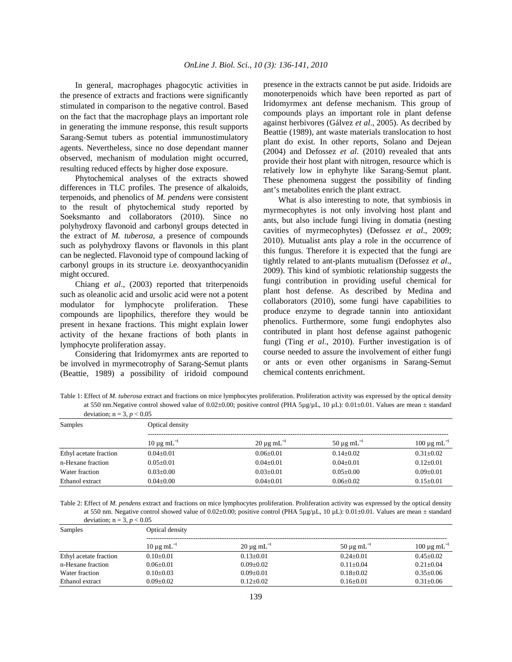In general, macrophages phagocytic activities in the presence of extracts and fractions were significantly stimulated in comparison to the negative control. Based on the fact that the macrophage plays an important role in generating the immune response, this result supports Sarang-Semut tubers as potential immunostimulatory agents. Nevertheless, since no dose dependant manner observed, mechanism of modulation might occurred, resulting reduced effects by higher dose exposure.

 Phytochemical analyses of the extracts showed differences in TLC profiles. The presence of alkaloids, terpenoids, and phenolics of *M. pendens* were consistent to the result of phytochemical study reported by Soeksmanto and collaborators (2010). Since no polyhydroxy flavonoid and carbonyl groups detected in the extract of *M. tuberosa*, a presence of compounds such as polyhydroxy flavons or flavonols in this plant can be neglected. Flavonoid type of compound lacking of carbonyl groups in its structure i.e. deoxyanthocyanidin might occured.

 Chiang *et al*., (2003) reported that triterpenoids such as oleanolic acid and ursolic acid were not a potent modulator for lymphocyte proliferation. These compounds are lipophilics, therefore they would be present in hexane fractions. This might explain lower activity of the hexane fractions of both plants in lymphocyte proliferation assay.

 Considering that Iridomyrmex ants are reported to be involved in myrmecotrophy of Sarang-Semut plants (Beattie, 1989) a possibility of iridoid compound presence in the extracts cannot be put aside. Iridoids are monoterpenoids which have been reported as part of Iridomyrmex ant defense mechanism. This group of compounds plays an important role in plant defense against herbivores (Gálvez *et al*., 2005). As decribed by Beattie (1989), ant waste materials translocation to host plant do exist. In other reports, Solano and Dejean (2004) and Defossez *et al*. (2010) revealed that ants provide their host plant with nitrogen, resource which is relatively low in ephyhyte like Sarang-Semut plant. These phenomena suggest the possibility of finding ant's metabolites enrich the plant extract.

 What is also interesting to note, that symbiosis in myrmecophytes is not only involving host plant and ants, but also include fungi living in domatia (nesting cavities of myrmecophytes) (Defossez *et al*., 2009; 2010). Mutualist ants play a role in the occurrence of this fungus. Therefore it is expected that the fungi are tightly related to ant-plants mutualism (Defossez *et al*., 2009). This kind of symbiotic relationship suggests the fungi contribution in providing useful chemical for plant host defense. As described by Medina and collaborators (2010), some fungi have capabilities to produce enzyme to degrade tannin into antioxidant phenolics. Furthermore, some fungi endophytes also contributed in plant host defense against pathogenic fungi (Ting *et al*., 2010). Further investigation is of course needed to assure the involvement of either fungi or ants or even other organisms in Sarang-Semut chemical contents enrichment.

Table 1: Effect of *M. tuberosa* extract and fractions on mice lymphocytes proliferation. Proliferation activity was expressed by the optical density at 550 nm.Negative control showed value of 0.02±0.00; positive control (PHA 5µg/µL, 10 µL): 0.01±0.01. Values are mean ± standard deviation;  $n = 3$ ,  $p \ge 0.05$ 

| $\mu = 3, p < 0.05$<br>Samples | Optical density             |                             |                             |                             |
|--------------------------------|-----------------------------|-----------------------------|-----------------------------|-----------------------------|
|                                | $10 \mu$ g mL <sup>-1</sup> | $20 \mu g$ mL <sup>-1</sup> | $50 \mu g$ mL <sup>-1</sup> | $100 \mu g \text{ mL}^{-1}$ |
| Ethyl acetate fraction         | $0.04 \pm 0.01$             | $0.06 \pm 0.01$             | $0.14 \pm 0.02$             | $0.31 + 0.02$               |
| n-Hexane fraction              | $0.05 + 0.01$               | $0.04 \pm 0.01$             | $0.04 + 0.01$               | $0.12 \pm 0.01$             |
| Water fraction                 | $0.03 + 0.00$               | $0.03 + 0.01$               | $0.05 + 0.00$               | $0.09 + 0.01$               |
| Ethanol extract                | $0.04 \pm 0.00$             | $0.04 \pm 0.01$             | $0.06 + 0.02$               | $0.15 \pm 0.01$             |

Table 2: Effect of *M. pendens* extract and fractions on mice lymphocytes proliferation. Proliferation activity was expressed by the optical density at 550 nm. Negative control showed value of  $0.02\pm0.00$ ; positive control (PHA 5µg/µL, 10 µL):  $0.01\pm0.01$ . Values are mean  $\pm$  standard deviation;  $n = 3$ ,  $p < 0.05$ 

| Samples                | Optical density             |                             |                       |                             |  |
|------------------------|-----------------------------|-----------------------------|-----------------------|-----------------------------|--|
|                        | $10 \mu$ g mL <sup>-1</sup> | $20 \mu g$ mL <sup>-1</sup> | $50 \mu$ g m $L^{-1}$ | $100 \mu g \text{ mL}^{-1}$ |  |
| Ethyl acetate fraction | $0.10 \pm 0.01$             | $0.13 \pm 0.01$             | $0.24 + 0.01$         | $0.45 + 0.02$               |  |
| n-Hexane fraction      | $0.06 + 0.01$               | $0.09 + 0.02$               | $0.11 + 0.04$         | $0.21 + 0.04$               |  |
| Water fraction         | $0.10+0.03$                 | $0.09 + 0.01$               | $0.18 + 0.02$         | $0.35+0.06$                 |  |
| Ethanol extract        | $0.09 + 0.02$               | $0.12 + 0.02$               | $0.16 + 0.01$         | $0.31 + 0.06$               |  |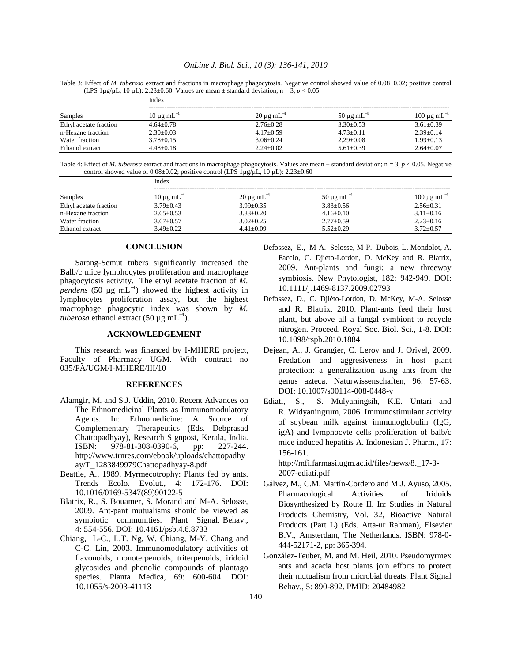#### *OnLine J. Biol. Sci., 10 (3): 136-141, 2010*

Table 3: Effect of *M. tuberosa* extract and fractions in macrophage phagocytosis. Negative control showed value of 0.08±0.02; positive control (LPS  $1\mu g/\mu L$ ,  $10 \mu L$ ):  $2.23\pm0.60$ . Values are mean  $\pm$  standard deviation; n = 3, p < 0.05.

| Samples                | Index                 |                             |                            |                             |
|------------------------|-----------------------|-----------------------------|----------------------------|-----------------------------|
|                        | $10 \mu$ g m $L^{-1}$ | $20 \mu g$ mL <sup>-1</sup> | $50 \mu g \text{ mL}^{-1}$ | $100 \mu g \text{ mL}^{-1}$ |
| Ethyl acetate fraction | $4.64 + 0.78$         | $2.76 + 0.28$               | $3.30 + 0.53$              | $3.61 + 0.39$               |
| n-Hexane fraction      | $2.30+0.03$           | $4.17+0.59$                 | $4.73 + 0.11$              | $2.39+0.14$                 |
| Water fraction         | $3.78 + 0.15$         | $3.06 + 0.24$               | $2.29 + 0.08$              | $1.99 + 0.13$               |
| Ethanol extract        | $4.48 + 0.18$         | $2.24+0.02$                 | $5.61 + 0.39$              | $2.64 \pm 0.07$             |

Table 4: Effect of *M. tuberosa* extract and fractions in macrophage phagocytosis. Values are mean  $\pm$  standard deviation; n = 3, *p* < 0.05. Negative control showed value of  $0.08\pm0.02$ ; positive control (LPS 1µg/µL, 10 µL):  $2.23\pm0.60$ 

| Samples                | Index                       |                            |                             |                             |
|------------------------|-----------------------------|----------------------------|-----------------------------|-----------------------------|
|                        | $10 \mu$ g mL <sup>-1</sup> | $20 \mu g \text{ mL}^{-1}$ | $50 \mu$ g mL <sup>-1</sup> | $100 \mu g \text{ mL}^{-1}$ |
| Ethyl acetate fraction | $3.79 + 0.43$               | $3.99 + 0.35$              | $3.83 + 0.56$               | $2.56 + 0.31$               |
| n-Hexane fraction      | $2.65 \pm 0.53$             | $3.83+0.20$                | $4.16 \pm 0.10$             | $3.11 + 0.16$               |
| Water fraction         | $3.67 \pm 0.57$             | $3.02 \pm 0.25$            | $2.77 \pm 0.59$             | $2.23+0.16$                 |
| Ethanol extract        | $3.49 + 0.22$               | $4.41 + 0.09$              | $5.52 \pm 0.29$             | $3.72 \pm 0.57$             |

### **CONCLUSION**

 Sarang-Semut tubers significantly increased the Balb/c mice lymphocytes proliferation and macrophage phagocytosis activity. The ethyl acetate fraction of *M.*   $p$ *endens* (50 µg mL<sup>-1</sup>) showed the highest activity in lymphocytes proliferation assay, but the highest macrophage phagocytic index was shown by *M. tuberosa* ethanol extract (50 µg mL<sup>-1</sup>).

#### **ACKNOWLEDGEMENT**

 This research was financed by I-MHERE project, Faculty of Pharmacy UGM. With contract no 035/FA/UGM/I-MHERE/III/10

#### **REFERENCES**

- Alamgir, M. and S.J. Uddin, 2010. Recent Advances on The Ethnomedicinal Plants as Immunomodulatory Agents. In: Ethnomedicine: A Source of Complementary Therapeutics (Eds. Debprasad Chattopadhyay), Research Signpost, Kerala, India. ISBN: 978-81-308-0390-6, pp: 227-244. http://www.trnres.com/ebook/uploads/chattopadhy ay/T\_1283849979Chattopadhyay-8.pdf
- Beattie, A., 1989. Myrmecotrophy: Plants fed by ants. Trends Ecolo. Evolut., 4: 172-176. DOI: 10.1016/0169-5347(89)90122-5
- Blatrix, R., S. Bouamer, S. Morand and M-A. Selosse, 2009. Ant-pant mutualisms should be viewed as symbiotic communities. Plant Signal. Behav., 4: 554-556. DOI: 10.4161/psb.4.6.8733
- Chiang, L-C., L.T. Ng, W. Chiang, M-Y. Chang and C-C. Lin, 2003. Immunomodulatory activities of flavonoids, monoterpenoids, triterpenoids, iridoid glycosides and phenolic compounds of plantago species. Planta Medica, 69: 600-604. DOI: 10.1055/s-2003-41113
- Defossez, E., M-A. Selosse, M-P. Dubois, L. Mondolot, A. Faccio, C. Djieto-Lordon, D. McKey and R. Blatrix, 2009. Ant-plants and fungi: a new threeway symbiosis. New Phytologist, 182: 942-949. DOI: 10.1111/j.1469-8137.2009.02793
- Defossez, D., C. Djiéto-Lordon, D. McKey, M-A. Selosse and R. Blatrix, 2010. Plant-ants feed their host plant, but above all a fungal symbiont to recycle nitrogen. Proceed. Royal Soc. Biol. Sci., 1-8. DOI: 10.1098/rspb.2010.1884
- Dejean, A., J. Grangier, C. Leroy and J. Orivel, 2009. Predation and aggresiveness in host plant protection: a generalization using ants from the genus azteca. Naturwissenschaften, 96: 57-63. DOI: 10.1007/s00114-008-0448-y
- Ediati, S., S. Mulyaningsih, K.E. Untari and R. Widyaningrum, 2006. Immunostimulant activity of soybean milk against immunoglobulin (IgG, igA) and lymphocyte cells proliferation of balb/c mice induced hepatitis A. Indonesian J. Pharm., 17: 156-161.

http://mfi.farmasi.ugm.ac.id/files/news/8.\_17-3- 2007-ediati.pdf

- Gálvez, M., C.M. Martín-Cordero and M.J. Ayuso, 2005. Pharmacological Activities of Iridoids Biosynthesized by Route II. In: Studies in Natural Products Chemistry, Vol. 32, Bioactive Natural Products (Part L) (Eds. Atta-ur Rahman), Elsevier B.V., Amsterdam, The Netherlands. ISBN: 978-0- 444-52171-2, pp: 365-394.
- González-Teuber, M. and M. Heil, 2010. Pseudomyrmex ants and acacia host plants join efforts to protect their mutualism from microbial threats. Plant Signal Behav., 5: 890-892. PMID: 20484982